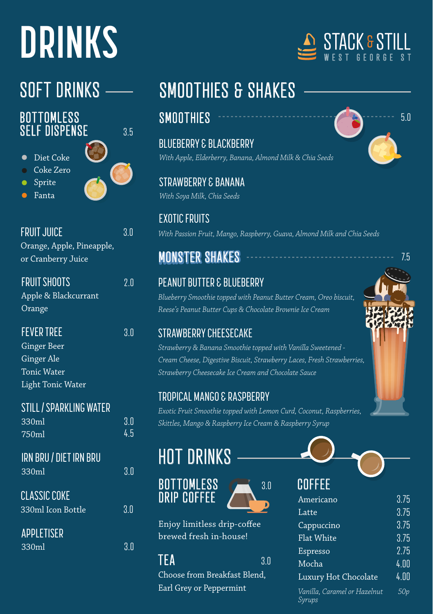# **DRINKS**

#### **BOTTOMLESS SELF DISPENSE**

3.5

- Diet Coke
- Coke Zero
- Sprite
- Fanta



| <b>FRUIT JUICE</b>        | 3.0 |
|---------------------------|-----|
| Orange, Apple, Pineapple, |     |
| or Cranberry Juice        |     |
|                           |     |

| <b>FRUIT SHOOTS</b>  | 2.0 |
|----------------------|-----|
| Apple & Blackcurrant |     |
| Orange               |     |

| <b>FEVER TREE</b>  | 30 |
|--------------------|----|
| Ginger Beer        |    |
| Ginger Ale         |    |
| <b>Tonic Water</b> |    |
| Light Tonic Water  |    |

| <b>STILL / SPARKLING WATER</b> |     |
|--------------------------------|-----|
| 330ml                          | 3.0 |
| 750ml                          | 4.5 |
|                                |     |
| <b>IRN BRU / DIET IRN BRU</b>  |     |
| 330ml                          | 3.0 |
| <b>CLASSIC COKE</b>            |     |
|                                |     |
| 330ml Icon Bottle              | 3.0 |
| <b>APPLETISER</b>              |     |
|                                |     |

| APPLETISER |     |
|------------|-----|
| 330ml      | 3.0 |

### SOFT DRINKS - SMOOTHIES & SHAKES

### **SMOOTHIES**

BLUEBERRY & BLACKBERRY *With Apple, Elderberry, Banana, Almond Milk & Chia Seeds*

STRAWBERRY & BANANA *With Soya Milk, Chia Seeds*

EXOTIC FRUITS *With Passion Fruit, Mango, Raspberry, Guava, Almond Milk and Chia Seeds*

### **MONSTER SHAKES**

#### PEANUT BUTTER & BLUEBERRY

*Blueberry Smoothie topped with Peanut Butter Cream, Oreo biscuit, Reese's Peanut Butter Cups & Chocolate Brownie Ice Cream*

### STRAWBERRY CHEESECAKE

*Strawberry & Banana Smoothie topped with Vanilla Sweetened - Cream Cheese, Digestive Biscuit, Strawberry Laces, Fresh Strawberries, Strawberry Cheesecake Ice Cream and Chocolate Sauce*

#### TROPICAL MANGO & RASPBERRY

*Exotic Fruit Smoothie topped with Lemon Curd, Coconut, Raspberries, Skittles, Mango & Raspberry Ice Cream & Raspberry Syrup*

### HOT DRINKS





Enjoy limitless drip-coffee brewed fresh in-house!

#### $TFA$  3.0

Choose from Breakfast Blend, Earl Grey or Peppermint





5.0

# **COFFEE**

| UUI I LL                               |      |
|----------------------------------------|------|
| Americano                              | 3.75 |
| Latte                                  | 3.75 |
| Cappuccino                             | 3.75 |
| <b>Flat White</b>                      | 3.75 |
| Espresso                               | 2.75 |
| Mocha                                  | 4.00 |
| Luxury Hot Chocolate                   | 4.00 |
| Vanilla, Caramel or Hazelnut<br>Syrups | 50p  |